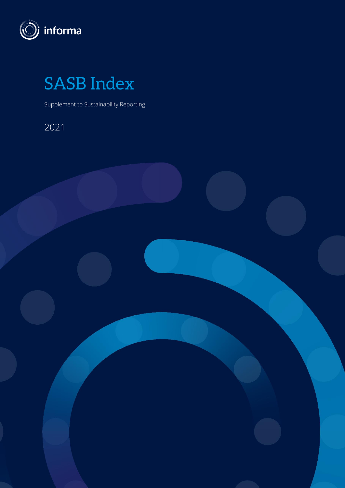

SASB Index

Supplement to Sustainability Reporting

2021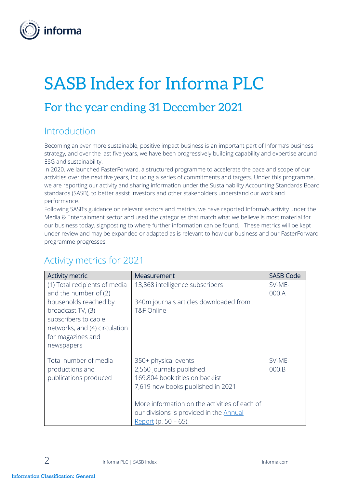

# SASB Index for Informa PLC

## For the year ending 31 December 2021

#### Introduction

Becoming an ever more sustainable, positive impact business is an important part of Informa's business strategy, and over the last five years, we have been progressively building capability and expertise around ESG and sustainability.

In 2020, we launched FasterForward, a structured programme to accelerate the pace and scope of our activities over the next five years, including a series of commitments and targets. Under this programme, we are reporting our activity and sharing information under the Sustainability Accounting Standards Board standards (SASB), to better assist investors and other stakeholders understand our work and performance.

Following SASB's guidance on relevant sectors and metrics, we have reported Informa's activity under the Media & Entertainment sector and used the categories that match what we believe is most material for our business today, signposting to where further information can be found. These metrics will be kept under review and may be expanded or adapted as is relevant to how our business and our FasterForward programme progresses.

| Activity metric               | Measurement                                    | <b>SASB Code</b> |
|-------------------------------|------------------------------------------------|------------------|
| (1) Total recipients of media | 13,868 intelligence subscribers                | SV-ME-           |
| and the number of (2)         |                                                | 000.A            |
| households reached by         | 340m journals articles downloaded from         |                  |
| broadcast TV, (3)             | <b>T&amp;F Online</b>                          |                  |
| subscribers to cable          |                                                |                  |
| networks, and (4) circulation |                                                |                  |
| for magazines and             |                                                |                  |
| newspapers                    |                                                |                  |
| Total number of media         | 350+ physical events                           | SV-ME-           |
| productions and               | 2,560 journals published                       | 000.B            |
| publications produced         | 169,804 book titles on backlist                |                  |
|                               | 7,619 new books published in 2021              |                  |
|                               |                                                |                  |
|                               | More information on the activities of each of  |                  |
|                               | our divisions is provided in the <b>Annual</b> |                  |
|                               | Report (p. 50 – 65).                           |                  |

### Activity metrics for 2021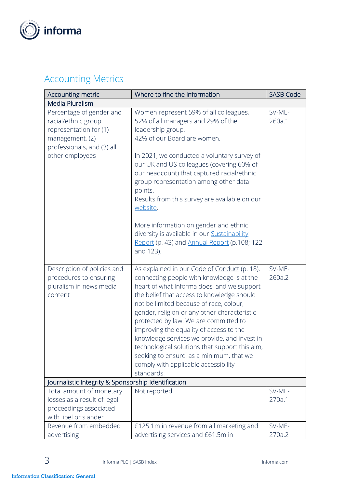

## Accounting Metrics

| Accounting metric                                                                                                                             | Where to find the information                                                                                                                                                                                                                                                                                                                                                                                                                                                                                                                                             | <b>SASB Code</b> |  |  |
|-----------------------------------------------------------------------------------------------------------------------------------------------|---------------------------------------------------------------------------------------------------------------------------------------------------------------------------------------------------------------------------------------------------------------------------------------------------------------------------------------------------------------------------------------------------------------------------------------------------------------------------------------------------------------------------------------------------------------------------|------------------|--|--|
| Media Pluralism                                                                                                                               |                                                                                                                                                                                                                                                                                                                                                                                                                                                                                                                                                                           |                  |  |  |
| Percentage of gender and<br>racial/ethnic group<br>representation for (1)<br>management, (2)<br>professionals, and (3) all<br>other employees | Women represent 59% of all colleagues,<br>52% of all managers and 29% of the<br>leadership group.<br>42% of our Board are women.<br>In 2021, we conducted a voluntary survey of<br>our UK and US colleagues (covering 60% of<br>our headcount) that captured racial/ethnic                                                                                                                                                                                                                                                                                                | SV-ME-<br>260a.1 |  |  |
|                                                                                                                                               | group representation among other data<br>points.<br>Results from this survey are available on our<br>website.<br>More information on gender and ethnic<br>diversity is available in our <b>Sustainability</b><br>Report (p. 43) and Annual Report (p.108; 122                                                                                                                                                                                                                                                                                                             |                  |  |  |
|                                                                                                                                               | and 123).                                                                                                                                                                                                                                                                                                                                                                                                                                                                                                                                                                 |                  |  |  |
| Description of policies and<br>procedures to ensuring<br>pluralism in news media<br>content                                                   | As explained in our Code of Conduct (p. 18),<br>connecting people with knowledge is at the<br>heart of what Informa does, and we support<br>the belief that access to knowledge should<br>not be limited because of race, colour,<br>gender, religion or any other characteristic<br>protected by law. We are committed to<br>improving the equality of access to the<br>knowledge services we provide, and invest in<br>technological solutions that support this aim,<br>seeking to ensure, as a minimum, that we<br>comply with applicable accessibility<br>standards. | SV-ME-<br>260a.2 |  |  |
| Journalistic Integrity & Sponsorship Identification                                                                                           |                                                                                                                                                                                                                                                                                                                                                                                                                                                                                                                                                                           |                  |  |  |
| Total amount of monetary<br>losses as a result of legal<br>proceedings associated<br>with libel or slander                                    | Not reported                                                                                                                                                                                                                                                                                                                                                                                                                                                                                                                                                              | SV-ME-<br>270a.1 |  |  |
| Revenue from embedded<br>advertising                                                                                                          | £125.1m in revenue from all marketing and<br>advertising services and £61.5m in                                                                                                                                                                                                                                                                                                                                                                                                                                                                                           | SV-ME-<br>270a.2 |  |  |